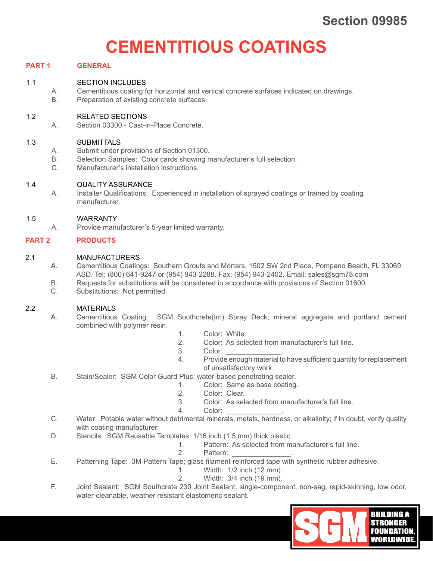# **CEMENTITIOUS COATINGS**

# **PART 1 GENERAL**

# 1.1 SECTION INCLUDES

A. Cementitious coating for horizontal and vertical concrete surfaces indicated on drawings.

B. Preparation of existing concrete surfaces.

#### 1.2 RELATED SECTIONS

A. Section 03300 - Cast-in-Place Concrete.

#### 1.3 SUBMITTALS

- A. Submit under provisions of Section 01300.
- B. Selection Samples: Color cards showing manufacturer's full selection.
- C. Manufacturer's installation instructions.

#### 1.4 QUALITY ASSURANCE

A. Installer Qualifications: Experienced in installation of sprayed coatings or trained by coating manufacturer.

#### 1.5 WARRANTY

A. Provide manufacturer's 5-year limited warranty.

#### **PART 2 PRODUCTS**

#### 2.1 MANUFACTURERS

- A. Cementitious Coatings: Southern Grouts and Mortars, 1502 SW 2nd Place, Pompano Beach, FL 33069. ASD. Tel: (800) 641-9247 or (954) 943-2288. Fax: (954) 943-2402. Email: sales@sgm78.com
- B. Requests for substitutions will be considered in accordance with provisions of Section 01600.
- C. Substitutions: Not permitted.

#### 2.2 MATERIALS

- A. Cementitious Coating: SGM Southcrete(tm) Spray Deck; mineral aggregate and portland cement combined with polymer resin.
	- 1. Color: White.
	- 2. Color: As selected from manufacturer's full line.
	- 3. Color:
	- 4. Provide enough material to have sufficient quantity for replacement of unsatisfactory work.
- B. Stain/Sealer: SGM Color Guard Plus; water-based penetrating sealer.
	- 1. Color: Same as base coating.
	- 2. Color: Clear.
	- 3. Color: As selected from manufacturer's full line.
	- 4. Color:
- C. Water: Potable water without detrimental minerals, metals, hardness, or alkalinity; if in doubt, verify quality with coating manufacturer.
- D. Stencils: SGM Reusable Templates; 1/16 inch (1.5 mm) thick plastic.
	- 1. Pattern: As selected from manufacturer's full line.<br>2. Pattern:
		- Pattern:
- E. Patterning Tape: 3M Pattern Tape; glass filament-reinforced tape with synthetic rubber adhesive.
	- 1. Width: 1/2 inch (12 mm).
	- 2. Width: 3/4 inch (19 mm).
- F. Joint Sealant: SGM Southcrete 230 Joint Sealant; single-component, non-sag, rapid-skinning, low odor, water-cleanable, weather resistant elastomeric sealant.